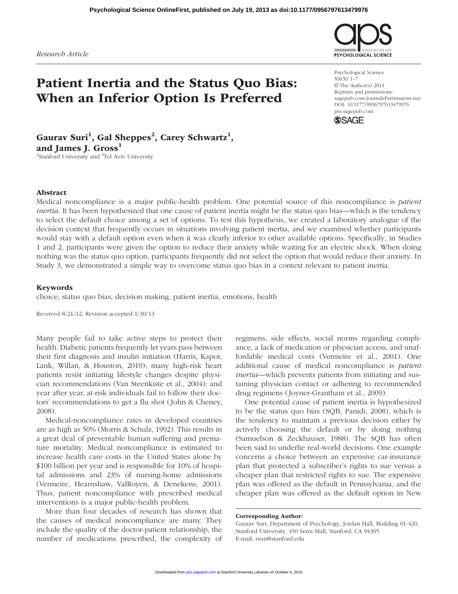*Research Article*

# Patient Inertia and the Status Quo Bias: When an Inferior Option Is Preferred

Gaurav Suri<sup>1</sup>, Gal Sheppes<sup>2</sup>, Carey Schwartz<sup>1</sup>, and James J. Gross<sup>1</sup> <sup>1</sup>Stanford University and <sup>2</sup>Tel Aviv University



Psychological Science  $XX(X)$  1–7 © The Author(s) 2013 Reprints and permissions: sagepub.com/journalsPermissions.nav DOI: 10.1177/0956797613479976 pss.sagepub.com



#### Abstract

Medical noncompliance is a major public-health problem. One potential source of this noncompliance is *patient inertia*. It has been hypothesized that one cause of patient inertia might be the status quo bias—which is the tendency to select the default choice among a set of options. To test this hypothesis, we created a laboratory analogue of the decision context that frequently occurs in situations involving patient inertia, and we examined whether participants would stay with a default option even when it was clearly inferior to other available options. Specifically, in Studies 1 and 2, participants were given the option to reduce their anxiety while waiting for an electric shock. When doing nothing was the status quo option, participants frequently did not select the option that would reduce their anxiety. In Study 3, we demonstrated a simple way to overcome status quo bias in a context relevant to patient inertia.

#### Keywords

choice, status quo bias, decision making, patient inertia, emotions, health

Received 8/21/12; Revision accepted 1/30/13

Many people fail to take active steps to protect their health. Diabetic patients frequently let years pass between their first diagnosis and insulin initiation (Harris, Kapor, Lank, Willan, & Houston, 2010); many high-risk heart patients resist initiating lifestyle changes despite physician recommendations (Van Steenkiste et al., 2004); and year after year, at-risk individuals fail to follow their doctors' recommendations to get a flu shot (John & Cheney, 2008).

Medical-noncompliance rates in developed countries are as high as 50% (Morris & Schulz, 1992). This results in a great deal of preventable human suffering and premature mortality. Medical noncompliance is estimated to increase health care costs in the United States alone by \$100 billion per year and is responsible for 10% of hospital admissions and 23% of nursing-home admissions (Vermeire, Hearnshaw, ValRoyen, & Denekens, 2001). Thus, patient noncompliance with prescribed medical interventions is a major public-health problem.

More than four decades of research has shown that the causes of medical noncompliance are many. They include the quality of the doctor-patient relationship, the number of medications prescribed, the complexity of regimens, side effects, social norms regarding compliance, a lack of medication or physician access, and unaffordable medical costs (Vermeire et al., 2001). One additional cause of medical noncompliance is *patient inertia*—which prevents patients from initiating and sustaining physician contact or adhering to recommended drug regimens (Joyner-Grantham et al., 2009).

One potential cause of patient inertia is hypothesized to be the status quo bias (SQB; Panidi, 2008), which is the tendency to maintain a previous decision either by actively choosing the default or by doing nothing (Samuelson & Zeckhauser, 1988). The SQB has often been said to underlie real-world decisions. One example concerns a choice between an expensive car-insurance plan that protected a subscriber's rights to sue versus a cheaper plan that restricted rights to sue. The expensive plan was offered as the default in Pennsylvania, and the cheaper plan was offered as the default option in New

Gaurav Suri, Department of Psychology, Jordan Hall, Building 01-420, Stanford University, 450 Serra Mall, Stanford, CA 94305 E-mail: rsuri@stanford.edu

Corresponding Author: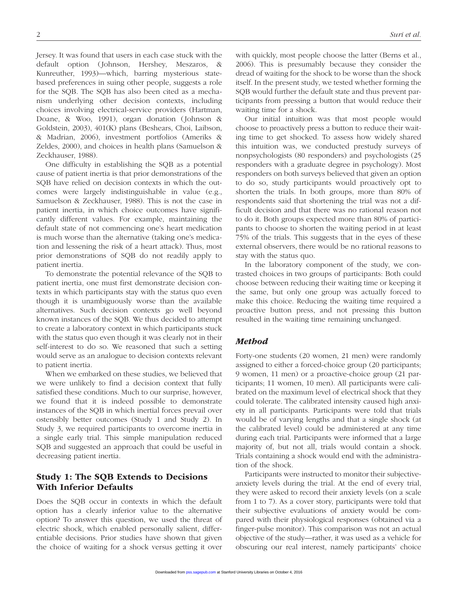Jersey. It was found that users in each case stuck with the default option (Johnson, Hershey, Meszaros, & Kunreuther, 1993)—which, barring mysterious statebased preferences in suing other people, suggests a role for the SQB. The SQB has also been cited as a mechanism underlying other decision contexts, including choices involving electrical-service providers (Hartman, Doane, & Woo, 1991), organ donation (Johnson & Goldstein, 2003), 401(K) plans (Beshears, Choi, Laibson, & Madrian, 2006), investment portfolios (Ameriks & Zeldes, 2000), and choices in health plans (Samuelson & Zeckhauser, 1988).

One difficulty in establishing the SQB as a potential cause of patient inertia is that prior demonstrations of the SQB have relied on decision contexts in which the outcomes were largely indistinguishable in value (e.g., Samuelson & Zeckhauser, 1988). This is not the case in patient inertia, in which choice outcomes have significantly different values. For example, maintaining the default state of not commencing one's heart medication is much worse than the alternative (taking one's medication and lessening the risk of a heart attack). Thus, most prior demonstrations of SQB do not readily apply to patient inertia.

To demonstrate the potential relevance of the SQB to patient inertia, one must first demonstrate decision contexts in which participants stay with the status quo even though it is unambiguously worse than the available alternatives. Such decision contexts go well beyond known instances of the SQB. We thus decided to attempt to create a laboratory context in which participants stuck with the status quo even though it was clearly not in their self-interest to do so. We reasoned that such a setting would serve as an analogue to decision contexts relevant to patient inertia.

When we embarked on these studies, we believed that we were unlikely to find a decision context that fully satisfied these conditions. Much to our surprise, however, we found that it is indeed possible to demonstrate instances of the SQB in which inertial forces prevail over ostensibly better outcomes (Study 1 and Study 2). In Study 3, we required participants to overcome inertia in a single early trial. This simple manipulation reduced SQB and suggested an approach that could be useful in decreasing patient inertia.

## Study 1: The SQB Extends to Decisions With Inferior Defaults

Does the SQB occur in contexts in which the default option has a clearly inferior value to the alternative option? To answer this question, we used the threat of electric shock, which enabled personally salient, differentiable decisions. Prior studies have shown that given the choice of waiting for a shock versus getting it over with quickly, most people choose the latter (Berns et al., 2006). This is presumably because they consider the dread of waiting for the shock to be worse than the shock itself. In the present study, we tested whether forming the SQB would further the default state and thus prevent participants from pressing a button that would reduce their waiting time for a shock.

Our initial intuition was that most people would choose to proactively press a button to reduce their waiting time to get shocked. To assess how widely shared this intuition was, we conducted prestudy surveys of nonpsychologists (80 responders) and psychologists (25 responders with a graduate degree in psychology). Most responders on both surveys believed that given an option to do so, study participants would proactively opt to shorten the trials. In both groups, more than 80% of respondents said that shortening the trial was not a difficult decision and that there was no rational reason not to do it. Both groups expected more than 80% of participants to choose to shorten the waiting period in at least 75% of the trials. This suggests that in the eyes of these external observers, there would be no rational reasons to stay with the status quo.

In the laboratory component of the study, we contrasted choices in two groups of participants: Both could choose between reducing their waiting time or keeping it the same, but only one group was actually forced to make this choice. Reducing the waiting time required a proactive button press, and not pressing this button resulted in the waiting time remaining unchanged.

## *Method*

Forty-one students (20 women, 21 men) were randomly assigned to either a forced-choice group (20 participants; 9 women, 11 men) or a proactive-choice group (21 participants; 11 women, 10 men). All participants were calibrated on the maximum level of electrical shock that they could tolerate. The calibrated intensity caused high anxiety in all participants. Participants were told that trials would be of varying lengths and that a single shock (at the calibrated level) could be administered at any time during each trial. Participants were informed that a large majority of, but not all, trials would contain a shock. Trials containing a shock would end with the administration of the shock.

Participants were instructed to monitor their subjectiveanxiety levels during the trial. At the end of every trial, they were asked to record their anxiety levels (on a scale from 1 to 7). As a cover story, participants were told that their subjective evaluations of anxiety would be compared with their physiological responses (obtained via a finger-pulse monitor). This comparison was not an actual objective of the study—rather, it was used as a vehicle for obscuring our real interest, namely participants' choice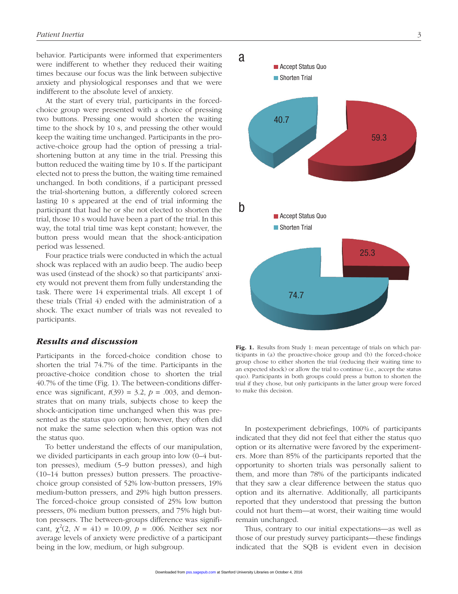behavior. Participants were informed that experimenters were indifferent to whether they reduced their waiting times because our focus was the link between subjective anxiety and physiological responses and that we were indifferent to the absolute level of anxiety.

At the start of every trial, participants in the forcedchoice group were presented with a choice of pressing two buttons. Pressing one would shorten the waiting time to the shock by 10 s, and pressing the other would keep the waiting time unchanged. Participants in the proactive-choice group had the option of pressing a trialshortening button at any time in the trial. Pressing this button reduced the waiting time by 10 s. If the participant elected not to press the button, the waiting time remained unchanged. In both conditions, if a participant pressed the trial-shortening button, a differently colored screen lasting 10 s appeared at the end of trial informing the participant that had he or she not elected to shorten the trial, those 10 s would have been a part of the trial. In this way, the total trial time was kept constant; however, the button press would mean that the shock-anticipation period was lessened.

Four practice trials were conducted in which the actual shock was replaced with an audio beep. The audio beep was used (instead of the shock) so that participants' anxiety would not prevent them from fully understanding the task. There were 14 experimental trials. All except 1 of these trials (Trial 4) ended with the administration of a shock. The exact number of trials was not revealed to participants.

## *Results and discussion*

Participants in the forced-choice condition chose to shorten the trial 74.7% of the time. Participants in the proactive-choice condition chose to shorten the trial 40.7% of the time (Fig. 1). The between-conditions difference was significant,  $t(39) = 3.2$ ,  $p = .003$ , and demonstrates that on many trials, subjects chose to keep the shock-anticipation time unchanged when this was presented as the status quo option; however, they often did not make the same selection when this option was not the status quo.

To better understand the effects of our manipulation, we divided participants in each group into low (0–4 button presses), medium (5–9 button presses), and high (10–14 button presses) button pressers. The proactivechoice group consisted of 52% low-button pressers, 19% medium-button pressers, and 29% high button pressers. The forced-choice group consisted of 25% low button pressers, 0% medium button pressers, and 75% high button pressers. The between-groups difference was significant,  $\chi^2(2, N = 41) = 10.09$ ,  $p = .006$ . Neither sex nor average levels of anxiety were predictive of a participant being in the low, medium, or high subgroup.



Fig. 1. Results from Study 1: mean percentage of trials on which participants in (a) the proactive-choice group and (b) the forced-choice group chose to either shorten the trial (reducing their waiting time to an expected shock) or allow the trial to continue (i.e., accept the status quo). Participants in both groups could press a button to shorten the trial if they chose, but only participants in the latter group were forced to make this decision.

In postexperiment debriefings, 100% of participants indicated that they did not feel that either the status quo option or its alternative were favored by the experimenters. More than 85% of the participants reported that the opportunity to shorten trials was personally salient to them, and more than 78% of the participants indicated that they saw a clear difference between the status quo option and its alternative. Additionally, all participants reported that they understood that pressing the button could not hurt them—at worst, their waiting time would remain unchanged.

Thus, contrary to our initial expectations—as well as those of our prestudy survey participants—these findings indicated that the SQB is evident even in decision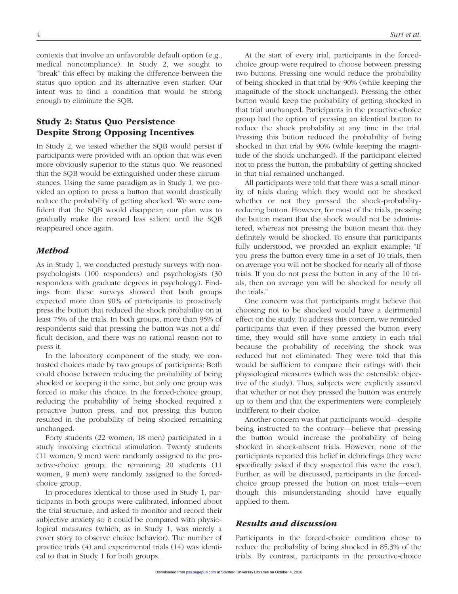contexts that involve an unfavorable default option (e.g., medical noncompliance). In Study 2, we sought to "break" this effect by making the difference between the status quo option and its alternative even starker. Our intent was to find a condition that would be strong enough to eliminate the SQB.

# Study 2: Status Quo Persistence Despite Strong Opposing Incentives

In Study 2, we tested whether the SQB would persist if participants were provided with an option that was even more obviously superior to the status quo. We reasoned that the SQB would be extinguished under these circumstances. Using the same paradigm as in Study 1, we provided an option to press a button that would drastically reduce the probability of getting shocked. We were confident that the SQB would disappear; our plan was to gradually make the reward less salient until the SQB reappeared once again.

## *Method*

As in Study 1, we conducted prestudy surveys with nonpsychologists (100 responders) and psychologists (30 responders with graduate degrees in psychology). Findings from these surveys showed that both groups expected more than 90% of participants to proactively press the button that reduced the shock probability on at least 75% of the trials. In both groups, more than 95% of respondents said that pressing the button was not a difficult decision, and there was no rational reason not to press it.

In the laboratory component of the study, we contrasted choices made by two groups of participants: Both could choose between reducing the probability of being shocked or keeping it the same, but only one group was forced to make this choice. In the forced-choice group, reducing the probability of being shocked required a proactive button press, and not pressing this button resulted in the probability of being shocked remaining unchanged.

Forty students (22 women, 18 men) participated in a study involving electrical stimulation. Twenty students (11 women, 9 men) were randomly assigned to the proactive-choice group; the remaining 20 students (11 women, 9 men) were randomly assigned to the forcedchoice group.

In procedures identical to those used in Study 1, participants in both groups were calibrated, informed about the trial structure, and asked to monitor and record their subjective anxiety so it could be compared with physiological measures (which, as in Study 1, was merely a cover story to observe choice behavior). The number of practice trials (4) and experimental trials (14) was identical to that in Study 1 for both groups.

At the start of every trial, participants in the forcedchoice group were required to choose between pressing two buttons. Pressing one would reduce the probability of being shocked in that trial by 90% (while keeping the magnitude of the shock unchanged). Pressing the other button would keep the probability of getting shocked in that trial unchanged. Participants in the proactive-choice group had the option of pressing an identical button to reduce the shock probability at any time in the trial. Pressing this button reduced the probability of being shocked in that trial by 90% (while keeping the magnitude of the shock unchanged). If the participant elected not to press the button, the probability of getting shocked in that trial remained unchanged.

All participants were told that there was a small minority of trials during which they would not be shocked whether or not they pressed the shock-probabilityreducing button. However, for most of the trials, pressing the button meant that the shock would not be administered, whereas not pressing the button meant that they definitely would be shocked. To ensure that participants fully understood, we provided an explicit example: "If you press the button every time in a set of 10 trials, then on average you will not be shocked for nearly all of those trials. If you do not press the button in any of the 10 trials, then on average you will be shocked for nearly all the trials."

One concern was that participants might believe that choosing not to be shocked would have a detrimental effect on the study. To address this concern, we reminded participants that even if they pressed the button every time, they would still have some anxiety in each trial because the probability of receiving the shock was reduced but not eliminated. They were told that this would be sufficient to compare their ratings with their physiological measures (which was the ostensible objective of the study). Thus, subjects were explicitly assured that whether or not they pressed the button was entirely up to them and that the experimenters were completely indifferent to their choice.

Another concern was that participants would—despite being instructed to the contrary—believe that pressing the button would increase the probability of being shocked in shock-absent trials. However, none of the participants reported this belief in debriefings (they were specifically asked if they suspected this were the case). Further, as will be discussed, participants in the forcedchoice group pressed the button on most trials—even though this misunderstanding should have equally applied to them.

## *Results and discussion*

Participants in the forced-choice condition chose to reduce the probability of being shocked in 85.3% of the trials. By contrast, participants in the proactive-choice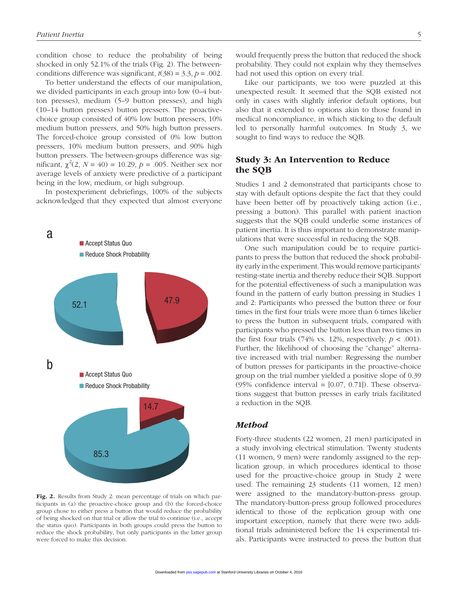condition chose to reduce the probability of being shocked in only 52.1% of the trials (Fig. 2). The betweenconditions difference was significant,  $t(38) = 3.3$ ,  $p = .002$ .

To better understand the effects of our manipulation, we divided participants in each group into low (0–4 button presses), medium (5–9 button presses), and high (10–14 button presses) button pressers. The proactivechoice group consisted of 40% low button pressers, 10% medium button pressers, and 50% high button pressers. The forced-choice group consisted of 0% low button pressers, 10% medium button pressers, and 90% high button pressers. The between-groups difference was significant,  $\chi^2(2, N = 40) = 10.29$ ,  $p = .005$ . Neither sex nor average levels of anxiety were predictive of a participant being in the low, medium, or high subgroup.

In postexperiment debriefings, 100% of the subjects acknowledged that they expected that almost everyone



Fig. 2. Results from Study 2: mean percentage of trials on which participants in (a) the proactive-choice group and (b) the forced-choice group chose to either press a button that would reduce the probability of being shocked on that trial or allow the trial to continue (i.e., accept the status quo). Participants in both groups could press the button to reduce the shock probability, but only participants in the latter group were forced to make this decision.

would frequently press the button that reduced the shock probability. They could not explain why they themselves had not used this option on every trial.

Like our participants, we too were puzzled at this unexpected result. It seemed that the SQB existed not only in cases with slightly inferior default options, but also that it extended to options akin to those found in medical noncompliance, in which sticking to the default led to personally harmful outcomes. In Study 3, we sought to find ways to reduce the SQB.

# Study 3: An Intervention to Reduce the SQB

Studies 1 and 2 demonstrated that participants chose to stay with default options despite the fact that they could have been better off by proactively taking action (i.e., pressing a button). This parallel with patient inaction suggests that the SQB could underlie some instances of patient inertia. It is thus important to demonstrate manipulations that were successful in reducing the SQB.

One such manipulation could be to require participants to press the button that reduced the shock probability early in the experiment. This would remove participants' resting-state inertia and thereby reduce their SQB. Support for the potential effectiveness of such a manipulation was found in the pattern of early button pressing in Studies 1 and 2: Participants who pressed the button three or four times in the first four trials were more than 6 times likelier to press the button in subsequent trials, compared with participants who pressed the button less than two times in the first four trials  $(74\% \text{ vs. } 12\%$ , respectively,  $p < .001$ ). Further, the likelihood of choosing the "change" alternative increased with trial number: Regressing the number of button presses for participants in the proactive-choice group on the trial number yielded a positive slope of 0.39 (95% confidence interval =  $[0.07, 0.71]$ ). These observations suggest that button presses in early trials facilitated a reduction in the SQB.

#### *Method*

Forty-three students (22 women, 21 men) participated in a study involving electrical stimulation. Twenty students (11 women, 9 men) were randomly assigned to the replication group, in which procedures identical to those used for the proactive-choice group in Study 2 were used. The remaining 23 students (11 women, 12 men) were assigned to the mandatory-button-press group. The mandatory-button-press group followed procedures identical to those of the replication group with one important exception, namely that there were two additional trials administered before the 14 experimental trials. Participants were instructed to press the button that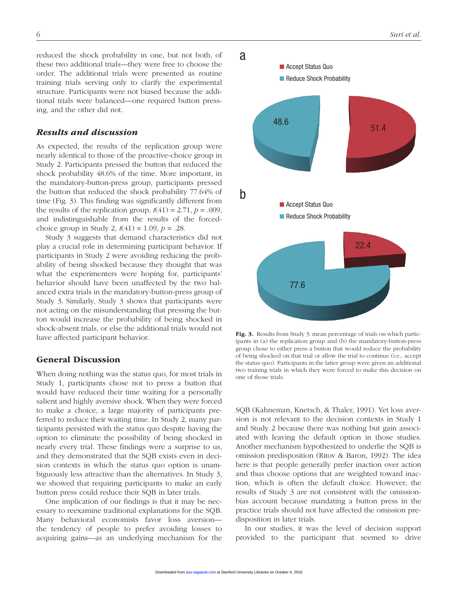reduced the shock probability in one, but not both, of these two additional trials—they were free to choose the order. The additional trials were presented as routine training trials serving only to clarify the experimental structure. Participants were not biased because the additional trials were balanced—one required button pressing, and the other did not.

## *Results and discussion*

As expected, the results of the replication group were nearly identical to those of the proactive-choice group in Study 2. Participants pressed the button that reduced the shock probability 48.6% of the time. More important, in the mandatory-button-press group, participants pressed the button that reduced the shock probability 77.64% of time (Fig. 3). This finding was significantly different from the results of the replication group,  $t(41) = 2.71$ ,  $p = .009$ , and indistinguishable from the results of the forcedchoice group in Study 2, *t*(41) = 1.09, *p* = .28.

Study 3 suggests that demand characteristics did not play a crucial role in determining participant behavior. If participants in Study 2 were avoiding reducing the probability of being shocked because they thought that was what the experimenters were hoping for, participants' behavior should have been unaffected by the two balanced extra trials in the mandatory-button-press group of Study 3. Similarly, Study 3 shows that participants were not acting on the misunderstanding that pressing the button would increase the probability of being shocked in shock-absent trials, or else the additional trials would not have affected participant behavior.

## General Discussion

When doing nothing was the status quo, for most trials in Study 1, participants chose not to press a button that would have reduced their time waiting for a personally salient and highly aversive shock. When they were forced to make a choice, a large majority of participants preferred to reduce their waiting time. In Study 2, many participants persisted with the status quo despite having the option to eliminate the possibility of being shocked in nearly every trial. These findings were a surprise to us, and they demonstrated that the SQB exists even in decision contexts in which the status quo option is unambiguously less attractive than the alternatives. In Study 3, we showed that requiring participants to make an early button press could reduce their SQB in later trials.

One implication of our findings is that it may be necessary to reexamine traditional explanations for the SQB. Many behavioral economists favor loss aversion the tendency of people to prefer avoiding losses to acquiring gains—as an underlying mechanism for the





Fig. 3. Results from Study 3: mean percentage of trials on which participants in (a) the replication group and (b) the mandatory-button-press group chose to either press a button that would reduce the probability of being shocked on that trial or allow the trial to continue (i.e., accept the status quo). Participants in the latter group were given an additional two training trials in which they were forced to make this decision on one of those trials.

SQB (Kahneman, Knetsch, & Thaler, 1991). Yet loss aversion is not relevant to the decision contexts in Study 1 and Study 2 because there was nothing but gain associated with leaving the default option in those studies. Another mechanism hypothesized to underlie the SQB is omission predisposition (Ritov & Baron, 1992). The idea here is that people generally prefer inaction over action and thus choose options that are weighted toward inaction, which is often the default choice. However, the results of Study 3 are not consistent with the omissionbias account because mandating a button press in the practice trials should not have affected the omission predisposition in later trials.

In our studies, it was the level of decision support provided to the participant that seemed to drive